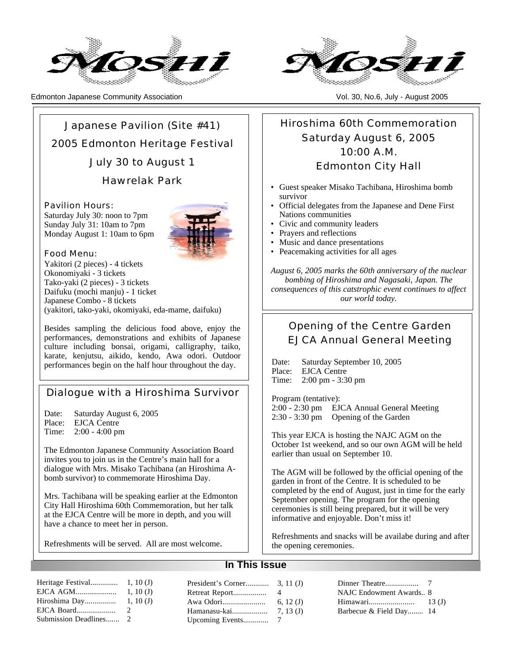

Edmonton Japanese Community Association Vol. 30, No.6, July - August 2005



Japanese Pavilion (Site #41) 2005 Edmonton Heritage Festival July 30 to August 1

Hawrelak Park

Pavilion Hours: Saturday July 30: noon to 7pm Sunday July 31: 10am to 7pm Monday August 1: 10am to 6pm



Food Menu:

Yakitori (2 pieces) - 4 tickets Okonomiyaki - 3 tickets Tako-yaki (2 pieces) - 3 tickets Daifuku (mochi manju) - 1 ticket Japanese Combo - 8 tickets (yakitori, tako-yaki, okomiyaki, eda-mame, daifuku)

Besides sampling the delicious food above, enjoy the performances, demonstrations and exhibits of Japanese culture including bonsai, origami, calligraphy, taiko, karate, kenjutsu, aikido, kendo, Awa odori. Outdoor performances begin on the half hour throughout the day.

## Dialogue with a Hiroshima Survivor

Date: Saturday August 6, 2005 Place: EJCA Centre<br>Time: 2:00 - 4:00 pm  $2:00 - 4:00$  pm

The Edmonton Japanese Community Association Board invites you to join us in the Centre's main hall for a dialogue with Mrs. Misako Tachibana (an Hiroshima Abomb survivor) to commemorate Hiroshima Day.

Mrs. Tachibana will be speaking earlier at the Edmonton City Hall Hiroshima 60th Commemoration, but her talk at the EJCA Centre will be more in depth, and you will have a chance to meet her in person.

Refreshments will be served. All are most welcome.

Hiroshima 60th Commemoration Saturday August 6, 2005 10:00 A.M. Edmonton City Hall

- Guest speaker Misako Tachibana, Hiroshima bomb survivor
- Official delegates from the Japanese and Dene First Nations communities
- Civic and community leaders
- Prayers and reflections
- Music and dance presentations
- Peacemaking activities for all ages

*August 6, 2005 marks the 60th anniversary of the nuclear bombing of Hiroshima and Nagasaki, Japan. The consequences of this catstrophic event continues to affect our world today.*

## Opening of the Centre Garden EJCA Annual General Meeting

Date: Saturday September 10, 2005 Place: EJCA Centre Time: 2:00 pm - 3:30 pm

Program (tentative): 2:00 - 2:30 pm EJCA Annual General Meeting 2:30 - 3:30 pm Opening of the Garden

This year EJCA is hosting the NAJC AGM on the October 1st weekend, and so our own AGM will be held earlier than usual on September 10.

The AGM will be followed by the official opening of the garden in front of the Centre. It is scheduled to be completed by the end of August, just in time for the early September opening. The program for the opening ceremonies is still being prepared, but it will be very informative and enjoyable. Don't miss it!

Refreshments and snacks will be availabe during and after the opening ceremonies.

## **In This Issue**

|  |  | NAJC Endowment Awards 8 |  |
|--|--|-------------------------|--|
|  |  |                         |  |
|  |  | Barbecue & Field Day 14 |  |
|  |  |                         |  |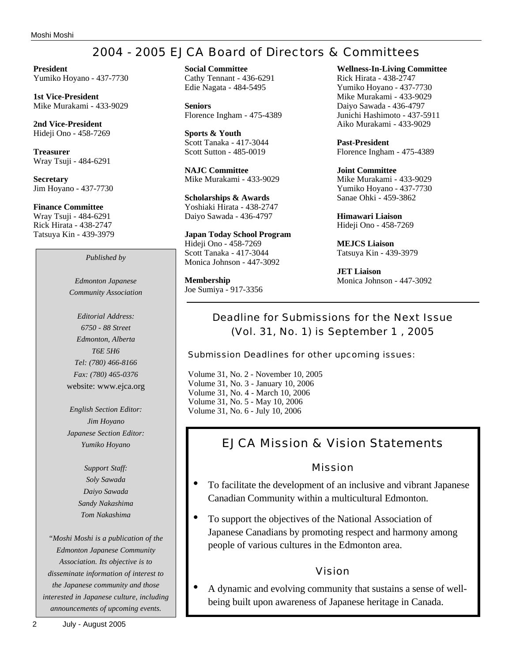# 2004 - 2005 EJCA Board of Directors & Committees

**President** Yumiko Hoyano - 437-7730

**1st Vice-President** Mike Murakami - 433-9029

**2nd Vice-President** Hideji Ono - 458-7269

**Treasurer** Wray Tsuji - 484-6291

**Secretary** Jim Hoyano - 437-7730

**Finance Committee** Wray Tsuji - 484-6291 Rick Hirata - 438-2747 Tatsuya Kin - 439-3979

*Published by*

*Edmonton Japanese Community Association*

*Editorial Address: 6750 - 88 Street Edmonton, Alberta T6E 5H6 Tel: (780) 466-8166 Fax: (780) 465-0376* website: www.ejca.org

*English Section Editor: Jim Hoyano Japanese Section Editor: Yumiko Hoyano*

> *Support Staff: Soly Sawada Daiyo Sawada Sandy Nakashima Tom Nakashima*

*"Moshi Moshi is a publication of the Edmonton Japanese Community Association. Its objective is to disseminate information of interest to the Japanese community and those interested in Japanese culture, including announcements of upcoming events.*

**Seniors** Florence Ingham - 475-4389

**Sports & Youth** Scott Tanaka - 417-3044 Scott Sutton - 485-0019

**NAJC Committee** Mike Murakami - 433-9029

**Scholarships & Awards** Yoshiaki Hirata - 438-2747 Daiyo Sawada - 436-4797

**Japan Today School Program** Hideji Ono - 458-7269 Scott Tanaka - 417-3044 Monica Johnson - 447-3092

**Membership** Joe Sumiya - 917-3356 **Wellness-In-Living Committee**

Rick Hirata - 438-2747 Yumiko Hoyano - 437-7730 Mike Murakami - 433-9029 Daiyo Sawada - 436-4797 Junichi Hashimoto - 437-5911 Aiko Murakami - 433-9029

**Past-President** Florence Ingham - 475-4389

**Joint Committee** Mike Murakami - 433-9029 Yumiko Hoyano - 437-7730 Sanae Ohki - 459-3862

**Himawari Liaison** Hideji Ono - 458-7269

**MEJCS Liaison** Tatsuya Kin - 439-3979

**JET Liaison** Monica Johnson - 447-3092

## Deadline for Submissions for the Next Issue (Vol. 31, No. 1) is September 1 , 2005

Submission Deadlines for other upcoming issues:

Volume 31, No. 2 - November 10, 2005 Volume 31, No. 3 - January 10, 2006 Volume 31, No. 4 - March 10, 2006 Volume 31, No. 5 - May 10, 2006 Volume 31, No. 6 - July 10, 2006

# EJCA Mission & Vision Statements

## Mission

- To facilitate the development of an inclusive and vibrant Japanese Canadian Community within a multicultural Edmonton.
- To support the objectives of the National Association of Japanese Canadians by promoting respect and harmony among people of various cultures in the Edmonton area.

## Vision

• A dynamic and evolving community that sustains a sense of wellbeing built upon awareness of Japanese heritage in Canada.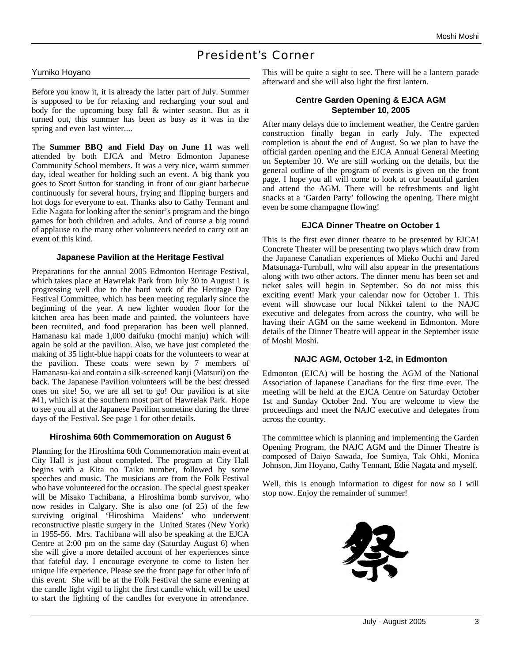## President's Corner

#### Yumiko Hoyano

Before you know it, it is already the latter part of July. Summer is supposed to be for relaxing and recharging your soul and body for the upcoming busy fall & winter season. But as it turned out, this summer has been as busy as it was in the spring and even last winter....

The **Summer BBQ and Field Day on June 11** was well attended by both EJCA and Metro Edmonton Japanese Community School members. It was a very nice, warm summer day, ideal weather for holding such an event. A big thank you goes to Scott Sutton for standing in front of our giant barbecue continuously for several hours, frying and flipping burgers and hot dogs for everyone to eat. Thanks also to Cathy Tennant and Edie Nagata for looking after the senior's program and the bingo games for both children and adults. And of course a big round of applause to the many other volunteers needed to carry out an event of this kind.

#### **Japanese Pavilion at the Heritage Festival**

Preparations for the annual 2005 Edmonton Heritage Festival, which takes place at Hawrelak Park from July 30 to August 1 is progressing well due to the hard work of the Heritage Day Festival Committee, which has been meeting regularly since the beginning of the year. A new lighter wooden floor for the kitchen area has been made and painted, the volunteers have been recruited, and food preparation has been well planned. Hamanasu kai made 1,000 daifuku (mochi manju) which will again be sold at the pavilion. Also, we have just completed the making of 35 light-blue happi coats for the volunteers to wear at the pavilion. These coats were sewn by 7 members of Hamanasu-kai and contain a silk-screened kanji (Matsuri) on the back. The Japanese Pavilion volunteers will be the best dressed ones on site! So, we are all set to go! Our pavilion is at site #41, which is at the southern most part of Hawrelak Park. Hope to see you all at the Japanese Pavilion sometine during the three days of the Festival. See page 1 for other details.

## **Hiroshima 60th Commemoration on August 6**

Planning for the Hiroshima 60th Commemoration main event at City Hall is just about completed. The program at City Hall begins with a Kita no Taiko number, followed by some speeches and music. The musicians are from the Folk Festival who have volunteered for the occasion. The special guest speaker will be Misako Tachibana, a Hiroshima bomb survivor, who now resides in Calgary. She is also one (of 25) of the few surviving original 'Hiroshima Maidens' who underwent reconstructive plastic surgery in the United States (New York) in 1955-56. Mrs. Tachibana will also be speaking at the EJCA Centre at 2:00 pm on the same day (Saturday August 6) when she will give a more detailed account of her experiences since that fateful day. I encourage everyone to come to listen her unique life experience. Please see the front page for other info of this event. She will be at the Folk Festival the same evening at the candle light vigil to light the first candle which will be used to start the lighting of the candles for everyone in attendance.

This will be quite a sight to see. There will be a lantern parade afterward and she will also light the first lantern.

## **Centre Garden Opening & EJCA AGM September 10, 2005**

After many delays due to imclement weather, the Centre garden construction finally began in early July. The expected completion is about the end of August. So we plan to have the official garden opening and the EJCA Annual General Meeting on September 10. We are still working on the details, but the general outline of the program of events is given on the front page. I hope you all will come to look at our beautiful garden and attend the AGM. There will be refreshments and light snacks at a 'Garden Party' following the opening. There might even be some champagne flowing!

#### **EJCA Dinner Theatre on October 1**

This is the first ever dinner theatre to be presented by EJCA! Concrete Theater will be presenting two plays which draw from the Japanese Canadian experiences of Mieko Ouchi and Jared Matsunaga-Turnbull, who will also appear in the presentations along with two other actors. The dinner menu has been set and ticket sales will begin in September. So do not miss this exciting event! Mark your calendar now for October 1. This event will showcase our local Nikkei talent to the NAJC executive and delegates from across the country, who will be having their AGM on the same weekend in Edmonton. More details of the Dinner Theatre will appear in the September issue of Moshi Moshi.

## **NAJC AGM, October 1-2, in Edmonton**

Edmonton (EJCA) will be hosting the AGM of the National Association of Japanese Canadians for the first time ever. The meeting will be held at the EJCA Centre on Saturday October 1st and Sunday October 2nd. You are welcome to view the proceedings and meet the NAJC executive and delegates from across the country.

The committee which is planning and implementing the Garden Opening Program, the NAJC AGM and the Dinner Theatre is composed of Daiyo Sawada, Joe Sumiya, Tak Ohki, Monica Johnson, Jim Hoyano, Cathy Tennant, Edie Nagata and myself.

Well, this is enough information to digest for now so I will stop now. Enjoy the remainder of summer!

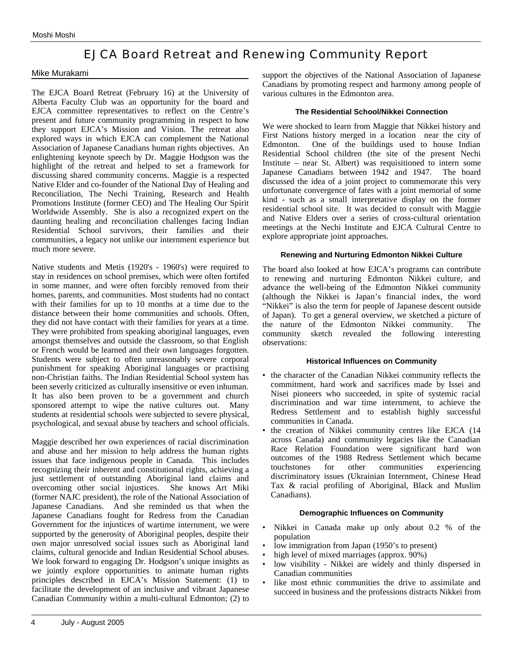## EJCA Board Retreat and Renewing Community Report

## Mike Murakami

The EJCA Board Retreat (February 16) at the University of Alberta Faculty Club was an opportunity for the board and EJCA committee representatives to reflect on the Centre's present and future community programming in respect to how they support EJCA's Mission and Vision. The retreat also explored ways in which EJCA can complement the National Association of Japanese Canadians human rights objectives. An enlightening keynote speech by Dr. Maggie Hodgson was the highlight of the retreat and helped to set a framework for discussing shared community concerns. Maggie is a respected Native Elder and co-founder of the National Day of Healing and Reconciliation, The Nechi Training, Research and Health Promotions Institute (former CEO) and The Healing Our Spirit Worldwide Assembly. She is also a recognized expert on the daunting healing and reconciliation challenges facing Indian Residential School survivors, their families and their communities, a legacy not unlike our internment experience but much more severe.

Native students and Metis (1920's - 1960's) were required to stay in residences on school premises, which were often fortifed in some manner, and were often forcibly removed from their homes, parents, and communities. Most students had no contact with their families for up to 10 months at a time due to the distance between their home communities and schools. Often, they did not have contact with their families for years at a time. They were prohibited from speaking aboriginal languages, even amongst themselves and outside the classroom, so that English or French would be learned and their own languages forgotten. Students were subject to often unreasonably severe corporal punishment for speaking Aboriginal languages or practising non-Christian faiths. The Indian Residential School system has been severly criticized as culturally insensitive or even inhuman. It has also been proven to be a government and church sponsored attempt to wipe the native cultures out. Many students at residential schools were subjected to severe physical, psychological, and sexual abuse by teachers and school officials.

Maggie described her own experiences of racial discrimination and abuse and her mission to help address the human rights issues that face indigenous people in Canada. This includes recognizing their inherent and constitutional rights, achieving a just settlement of outstanding Aboriginal land claims and overcoming other social injustices. She knows Art Miki (former NAJC president), the role of the National Association of Japanese Canadians. And she reminded us that when the Japanese Canadians fought for Redress from the Canadian Government for the injustices of wartime internment, we were supported by the generosity of Aboriginal peoples, despite their own major unresolved social issues such as Aboriginal land claims, cultural genocide and Indian Residential School abuses. We look forward to engaging Dr. Hodgson's unique insights as we jointly explore opportunities to animate human rights principles described in EJCA's Mission Statement: (1) to facilitate the development of an inclusive and vibrant Japanese Canadian Community within a multi-cultural Edmonton; (2) to

## **The Residential School/Nikkei Connection**

We were shocked to learn from Maggie that Nikkei history and First Nations history merged in a location near the city of Edmonton. One of the buildings used to house Indian Residential School children (the site of the present Nechi Institute – near St. Albert) was requisitioned to intern some Japanese Canadians between 1942 and 1947. The board discussed the idea of a joint project to commemorate this very unfortunate convergence of fates with a joint memorial of some kind - such as a small interpretative display on the former residential school site. It was decided to consult with Maggie and Native Elders over a series of cross-cultural orientation meetings at the Nechi Institute and EJCA Cultural Centre to explore appropriate joint approaches.

## **Renewing and Nurturing Edmonton Nikkei Culture**

The board also looked at how EJCA's programs can contribute to renewing and nurturing Edmonton Nikkei culture, and advance the well-being of the Edmonton Nikkei community (although the Nikkei is Japan's financial index, the word "Nikkei" is also the term for people of Japanese descent outside of Japan). To get a general overview, we sketched a picture of the nature of the Edmonton Nikkei community. The community sketch revealed the following interesting observations:

#### **Historical Influences on Community**

- the character of the Canadian Nikkei community reflects the commitment, hard work and sacrifices made by Issei and Nisei pioneers who succeeded, in spite of systemic racial discrimination and war time internment, to achieve the Redress Settlement and to establish highly successful communities in Canada.
- the creation of Nikkei community centres like EJCA (14 across Canada) and community legacies like the Canadian Race Relation Foundation were significant hard won outcomes of the 1988 Redress Settlement which became touchstones for other communities experiencing discriminatory issues (Ukrainian Internment, Chinese Head Tax & racial profiling of Aboriginal, Black and Muslim Canadians).

#### **Demographic Influences on Community**

- Nikkei in Canada make up only about 0.2 % of the population
- low immigration from Japan (1950's to present)
- high level of mixed marriages (approx. 90%)
- low visibility Nikkei are widely and thinly dispersed in Canadian communities
- like most ethnic communities the drive to assimilate and succeed in business and the professions distracts Nikkei from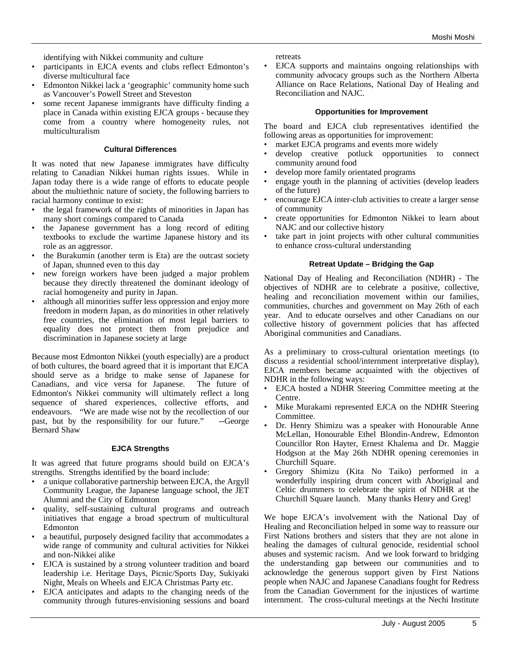identifying with Nikkei community and culture

- participants in EJCA events and clubs reflect Edmonton's diverse multicultural face
- Edmonton Nikkei lack a 'geographic' community home such as Vancouver's Powell Street and Steveston
- some recent Japanese immigrants have difficulty finding a place in Canada within existing EJCA groups - because they come from a country where homogeneity rules, not multiculturalism

#### **Cultural Differences**

It was noted that new Japanese immigrates have difficulty relating to Canadian Nikkei human rights issues. While in Japan today there is a wide range of efforts to educate people about the multiethnic nature of society, the following barriers to racial harmony continue to exist:

- the legal framework of the rights of minorities in Japan has many short comings compared to Canada
- the Japanese government has a long record of editing textbooks to exclude the wartime Japanese history and its role as an aggressor.
- the Burakumin (another term is Eta) are the outcast society of Japan, shunned even to this day
- new foreign workers have been judged a major problem because they directly threatened the dominant ideology of racial homogeneity and purity in Japan.
- although all minorities suffer less oppression and enjoy more freedom in modern Japan, as do minorities in other relatively free countries, the elimination of most legal barriers to equality does not protect them from prejudice and discrimination in Japanese society at large

Because most Edmonton Nikkei (youth especially) are a product of both cultures, the board agreed that it is important that EJCA should serve as a bridge to make sense of Japanese for Canadians, and vice versa for Japanese. The future of Canadians, and vice versa for Japanese. Edmonton's Nikkei community will ultimately reflect a long sequence of shared experiences, collective efforts, and endeavours. "We are made wise not by the recollection of our past, but by the responsibility for our future." --George Bernard Shaw

#### **EJCA Strengths**

It was agreed that future programs should build on EJCA's strengths. Strengths identified by the board include:

- a unique collaborative partnership between EJCA, the Argyll Community League, the Japanese language school, the JET Alumni and the City of Edmonton
- quality, self-sustaining cultural programs and outreach initiatives that engage a broad spectrum of multicultural Edmonton
- a beautiful, purposely designed facility that accommodates a wide range of community and cultural activities for Nikkei and non-Nikkei alike
- EJCA is sustained by a strong volunteer tradition and board leadership i.e. Heritage Days, Picnic/Sports Day, Sukiyaki Night, Meals on Wheels and EJCA Christmas Party etc.
- EJCA anticipates and adapts to the changing needs of the community through futures-envisioning sessions and board

retreats

• EJCA supports and maintains ongoing relationships with community advocacy groups such as the Northern Alberta Alliance on Race Relations, National Day of Healing and Reconciliation and NAJC.

#### **Opportunities for Improvement**

The board and EJCA club representatives identified the following areas as opportunities for improvement:

- market EJCA programs and events more widely
- develop creative potluck opportunities to connect community around food
- develop more family orientated programs
- engage youth in the planning of activities (develop leaders of the future)
- encourage EJCA inter-club activities to create a larger sense of community
- create opportunities for Edmonton Nikkei to learn about NAJC and our collective history
- take part in joint projects with other cultural communities to enhance cross-cultural understanding

#### **Retreat Update – Bridging the Gap**

National Day of Healing and Reconciliation (NDHR) - The objectives of NDHR are to celebrate a positive, collective, healing and reconciliation movement within our families, communities, churches and government on May 26th of each year. And to educate ourselves and other Canadians on our collective history of government policies that has affected Aboriginal communities and Canadians.

As a preliminary to cross-cultural orientation meetings (to discuss a residential school/internment interpretative display), EJCA members became acquainted with the objectives of NDHR in the following ways:

- EJCA hosted a NDHR Steering Committee meeting at the Centre.
- Mike Murakami represented EJCA on the NDHR Steering Committee.
- Dr. Henry Shimizu was a speaker with Honourable Anne McLellan, Honourable Ethel Blondin-Andrew, Edmonton Councillor Ron Hayter, Ernest Khalema and Dr. Maggie Hodgson at the May 26th NDHR opening ceremonies in Churchill Square.
- Gregory Shimizu (Kita No Taiko) performed in a wonderfully inspiring drum concert with Aboriginal and Celtic drummers to celebrate the spirit of NDHR at the Churchill Square launch. Many thanks Henry and Greg!

We hope EJCA's involvement with the National Day of Healing and Reconciliation helped in some way to reassure our First Nations brothers and sisters that they are not alone in healing the damages of cultural genocide, residential school abuses and systemic racism. And we look forward to bridging the understanding gap between our communities and to acknowledge the generous support given by First Nations people when NAJC and Japanese Canadians fought for Redress from the Canadian Government for the injustices of wartime internment. The cross-cultural meetings at the Nechi Institute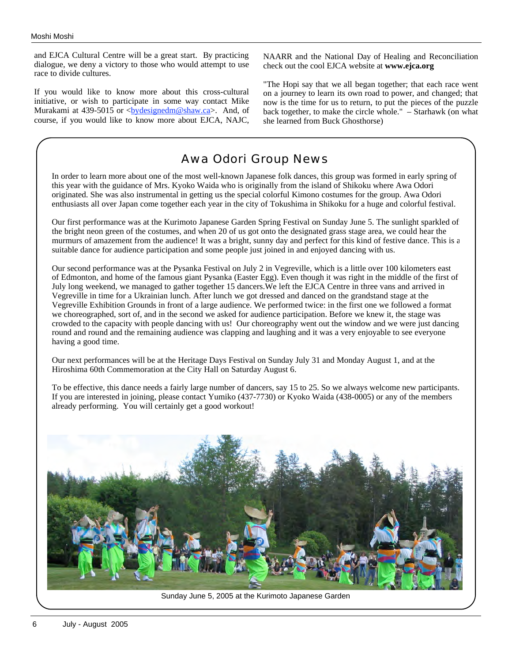and EJCA Cultural Centre will be a great start. By practicing dialogue, we deny a victory to those who would attempt to use race to divide cultures.

If you would like to know more about this cross-cultural initiative, or wish to participate in some way contact Mike Murakami at 439-5015 or  $\langle \frac{bydesignedm@shaw.ca}{$  And, of course, if you would like to know more about EJCA, NAJC,

NAARR and the National Day of Healing and Reconciliation check out the cool EJCA website at **www.ejca.org**

"The Hopi say that we all began together; that each race went on a journey to learn its own road to power, and changed; that now is the time for us to return, to put the pieces of the puzzle back together, to make the circle whole." – Starhawk (on what she learned from Buck Ghosthorse)

## Awa Odori Group News

In order to learn more about one of the most well-known Japanese folk dances, this group was formed in early spring of this year with the guidance of Mrs. Kyoko Waida who is originally from the island of Shikoku where Awa Odori originated. She was also instrumental in getting us the special colorful Kimono costumes for the group. Awa Odori enthusiasts all over Japan come together each year in the city of Tokushima in Shikoku for a huge and colorful festival.

Our first performance was at the Kurimoto Japanese Garden Spring Festival on Sunday June 5. The sunlight sparkled off the bright neon green of the costumes, and when 20 of us got onto the designated grass stage area, we could hear the murmurs of amazement from the audience! It was a bright, sunny day and perfect for this kind of festive dance. This is a suitable dance for audience participation and some people just joined in and enjoyed dancing with us.

Our second performance was at the Pysanka Festival on July 2 in Vegreville, which is a little over 100 kilometers east of Edmonton, and home of the famous giant Pysanka (Easter Egg). Even though it was right in the middle of the first of July long weekend, we managed to gather together 15 dancers.We left the EJCA Centre in three vans and arrived in Vegreville in time for a Ukrainian lunch. After lunch we got dressed and danced on the grandstand stage at the Vegreville Exhibition Grounds in front of a large audience. We performed twice: in the first one we followed a format we choreographed, sort of, and in the second we asked for audience participation. Before we knew it, the stage was crowded to the capacity with people dancing with us! Our choreography went out the window and we were just dancing round and round and the remaining audience was clapping and laughing and it was a very enjoyable to see everyone having a good time.

Our next performances will be at the Heritage Days Festival on Sunday July 31 and Monday August 1, and at the Hiroshima 60th Commemoration at the City Hall on Saturday August 6.

To be effective, this dance needs a fairly large number of dancers, say 15 to 25. So we always welcome new participants. If you are interested in joining, please contact Yumiko (437-7730) or Kyoko Waida (438-0005) or any of the members already performing. You will certainly get a good workout!



Sunday June 5, 2005 at the Kurimoto Japanese Garden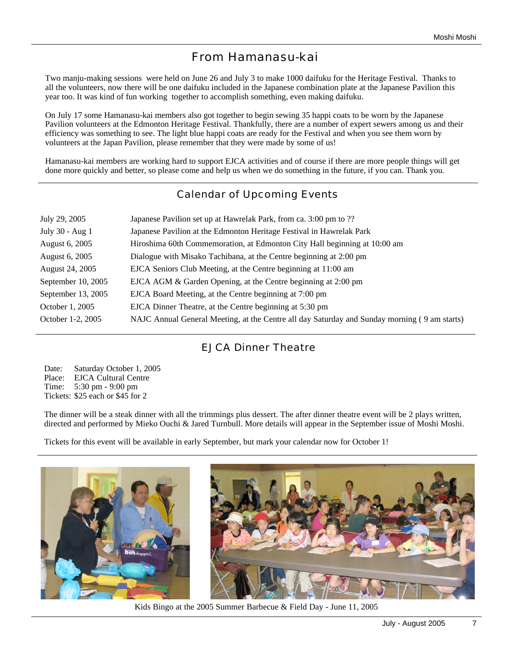# From Hamanasu-kai

Two manju-making sessions were held on June 26 and July 3 to make 1000 daifuku for the Heritage Festival. Thanks to all the volunteers, now there will be one daifuku included in the Japanese combination plate at the Japanese Pavilion this year too. It was kind of fun working together to accomplish something, even making daifuku.

On July 17 some Hamanasu-kai members also got together to begin sewing 35 happi coats to be worn by the Japanese Pavilion volunteers at the Edmonton Heritage Festival. Thankfully, there are a number of expert sewers among us and their efficiency was something to see. The light blue happi coats are ready for the Festival and when you see them worn by volunteers at the Japan Pavilion, please remember that they were made by some of us!

Hamanasu-kai members are working hard to support EJCA activities and of course if there are more people things will get done more quickly and better, so please come and help us when we do something in the future, if you can. Thank you.

## Calendar of Upcoming Events

| July 29, 2005      | Japanese Pavilion set up at Hawrelak Park, from ca. 3:00 pm to ??                            |
|--------------------|----------------------------------------------------------------------------------------------|
| July 30 - Aug 1    | Japanese Pavilion at the Edmonton Heritage Festival in Hawrelak Park                         |
| August 6, 2005     | Hiroshima 60th Commemoration, at Edmonton City Hall beginning at 10:00 am                    |
| August 6, 2005     | Dialogue with Misako Tachibana, at the Centre beginning at 2:00 pm                           |
| August 24, 2005    | EJCA Seniors Club Meeting, at the Centre beginning at 11:00 am                               |
| September 10, 2005 | EJCA AGM & Garden Opening, at the Centre beginning at 2:00 pm                                |
| September 13, 2005 | EJCA Board Meeting, at the Centre beginning at 7:00 pm                                       |
| October 1, 2005    | EJCA Dinner Theatre, at the Centre beginning at 5:30 pm                                      |
| October 1-2, 2005  | NAJC Annual General Meeting, at the Centre all day Saturday and Sunday morning (9 am starts) |

## EJCA Dinner Theatre

Date: Saturday October 1, 2005 Place: EJCA Cultural Centre Time: 5:30 pm - 9:00 pm Tickets: \$25 each or \$45 for 2

The dinner will be a steak dinner with all the trimmings plus dessert. The after dinner theatre event will be 2 plays written, directed and performed by Mieko Ouchi & Jared Turnbull. More details will appear in the September issue of Moshi Moshi.

Tickets for this event will be available in early September, but mark your calendar now for October 1!



Kids Bingo at the 2005 Summer Barbecue & Field Day - June 11, 2005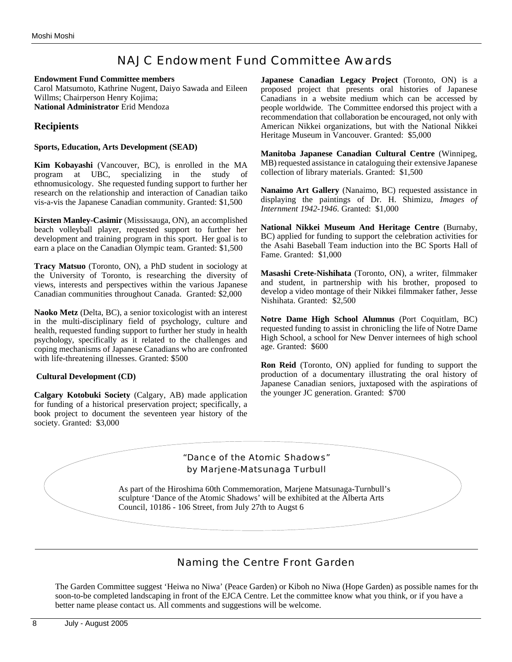## NAJC Endowment Fund Committee Awards

#### **Endowment Fund Committee members**

Carol Matsumoto, Kathrine Nugent, Daiyo Sawada and Eileen Willms; Chairperson Henry Kojima; **National Administrator** Erid Mendoza

## **Recipients**

#### **Sports, Education, Arts Development (SEAD)**

**Kim Kobayashi** (Vancouver, BC), is enrolled in the MA program at UBC, specializing in the study of ethnomusicology. She requested funding support to further her research on the relationship and interaction of Canadian taiko vis-a-vis the Japanese Canadian community. Granted: \$1,500

**Kirsten Manley-Casimir** (Mississauga, ON), an accomplished beach volleyball player, requested support to further her development and training program in this sport. Her goal is to earn a place on the Canadian Olympic team. Granted: \$1,500

**Tracy Matsuo** (Toronto, ON), a PhD student in sociology at the University of Toronto, is researching the diversity of views, interests and perspectives within the various Japanese Canadian communities throughout Canada. Granted: \$2,000

**Naoko Metz** (Delta, BC), a senior toxicologist with an interest in the multi-disciplinary field of psychology, culture and health, requested funding support to further her study in health psychology, specifically as it related to the challenges and coping mechanisms of Japanese Canadians who are confronted with life-threatening illnesses. Granted: \$500

## **Cultural Development (CD)**

**Calgary Kotobuki Society** (Calgary, AB) made application for funding of a historical preservation project; specifically, a book project to document the seventeen year history of the society. Granted: \$3,000

**Japanese Canadian Legacy Project** (Toronto, ON) is a proposed project that presents oral histories of Japanese Canadians in a website medium which can be accessed by people worldwide. The Committee endorsed this project with a recommendation that collaboration be encouraged, not only with American Nikkei organizations, but with the National Nikkei Heritage Museum in Vancouver. Granted: \$5,000

**Manitoba Japanese Canadian Cultural Centre** (Winnipeg, MB) requested assistance in cataloguing their extensive Japanese collection of library materials. Granted: \$1,500

**Nanaimo Art Gallery** (Nanaimo, BC) requested assistance in displaying the paintings of Dr. H. Shimizu, *Images of Internment 1942-1946*. Granted: \$1,000

**National Nikkei Museum And Heritage Centre** (Burnaby, BC) applied for funding to support the celebration activities for the Asahi Baseball Team induction into the BC Sports Hall of Fame. Granted: \$1,000

**Masashi Crete-Nishihata** (Toronto, ON), a writer, filmmaker and student, in partnership with his brother, proposed to develop a video montage of their Nikkei filmmaker father, Jesse Nishihata. Granted: \$2,500

**Notre Dame High School Alumnus** (Port Coquitlam, BC) requested funding to assist in chronicling the life of Notre Dame High School, a school for New Denver internees of high school age. Granted: \$600

**Ron Reid** (Toronto, ON) applied for funding to support the production of a documentary illustrating the oral history of Japanese Canadian seniors, juxtaposed with the aspirations of the younger JC generation. Granted: \$700



## Naming the Centre Front Garden

The Garden Committee suggest 'Heiwa no Niwa' (Peace Garden) or Kiboh no Niwa (Hope Garden) as possible names for the soon-to-be completed landscaping in front of the EJCA Centre. Let the committee know what you think, or if you have a better name please contact us. All comments and suggestions will be welcome.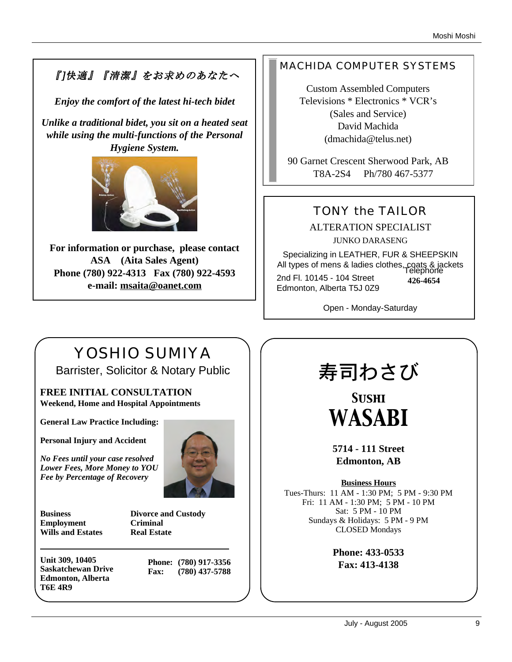# 『]快適』『清潔』をお求めのあなたへ

*Enjoy the comfort of the latest hi-tech bidet*

*Unlike a traditional bidet, you sit on a heated seat while using the multi-functions of the Personal Hygiene System.* 



**For information or purchase, please contact ASA (Aita Sales Agent) Phone (780) 922-4313 Fax (780) 922-4593 e-mail: msaita@oanet.com**

## MACHIDA COMPUTER SYSTEMS

Custom Assembled Computers Televisions \* Electronics \* VCR's (Sales and Service) David Machida (dmachida@telus.net)

90 Garnet Crescent Sherwood Park, AB T8A-2S4 Ph/780 467-5377

# TONY the TAILOR

ALTERATION SPECIALIST JUNKO DARASENG

Specializing in LEATHER, FUR & SHEEPSKIN All types of mens & ladies clothes, coats & jackets Telephone 2nd Fl. 10145 - 104 Street Edmonton, Alberta T5J 0Z9 **426-4654**

Open - Monday-Saturday

# YOSHIO SUMIYA

Barrister, Solicitor & Notary Public

**FREE INITIAL CONSULTATION Weekend, Home and Hospital Appointments**

**General Law Practice Including:**

**Personal Injury and Accident**

*No Fees until your case resolved Lower Fees, More Money to YOU Fee by Percentage of Recovery*



**Business Divorce and Custody Employment Criminal Wills and Estates Real Estate**

**Unit 309, 10405 Saskatchewan Drive Edmonton, Alberta T6E 4R9**

**Phone: (780) 917-3356 Fax: (780) 437-5788**

# 寿司わさび

*Sushi WASABI*

**5714 - 111 Street Edmonton, AB**

**Business Hours**

Tues-Thurs: 11 AM - 1:30 PM; 5 PM - 9:30 PM Fri: 11 AM - 1:30 PM; 5 PM - 10 PM Sat: 5 PM - 10 PM Sundays & Holidays: 5 PM - 9 PM CLOSED Mondays

> **Phone: 433-0533 Fax: 413-4138**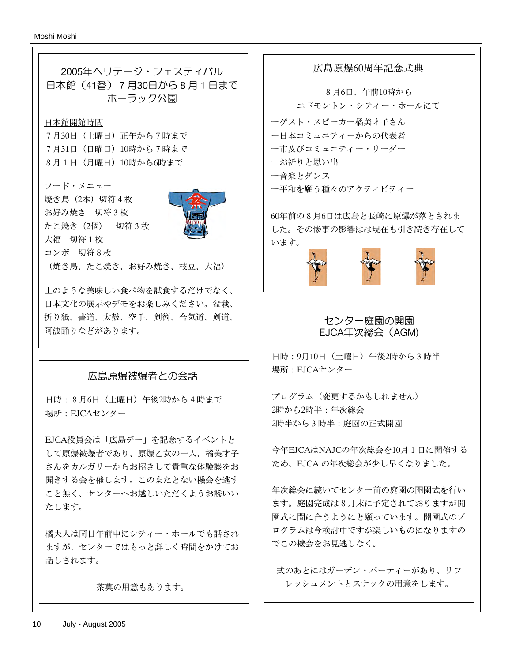

日時:8月6日(土曜日)午後2時から4時まで 場所:EJCAセンター

EJCA役員会は「広島デー」を記念するイベントと して原爆被爆者であり、原爆乙女の一人、橘美才子 さんをカルガリーからお招きして貴重な体験談をお 聞きする会を催します。このまたとない機会を逃す こと無く、センターへお越しいただくようお誘いい たします。

橘夫人は同日午前中にシティー・ホールでも話され ますが、センターではもっと詳しく時間をかけてお 話しされます。

茶菓の用意もあります。

広島原爆60周年記念式典

8月6日、午前10時から エドモントン・シティー・ホールにて

ーゲスト・スピーカー橘美才子さん ー日本コミュニティーからの代表者 ー市及びコミュニティー・リーダー

ーお祈りと思い出

ー音楽とダンス

ー平和を願う種々のアクティビティー

60年前の8月6日は広島と長崎に原爆が落とされま した。その惨事の影響はは現在も引き続き存在して います。



## センター庭園の開園 EJCA年次総会(AGM)

日時:9月10日(土曜日)午後2時から3時半 場所:EJCAセンター

プログラム(変更するかもしれません) 2時から2時半:年次総会 2時半から3時半:庭園の正式開園

今年EJCAはNAJCの年次総会を10月1日に開催する ため、EJCA の年次総会が少し早くなりました。

年次総会に続いてセンター前の庭園の開園式を行い ます。庭園完成は8月末に予定されておりますが開 園式に間に合うようにと願っています。開園式のプ ログラムは今検討中ですが楽しいものになりますの でこの機会をお見逃しなく。

式のあとにはガーデン・パーティーがあり、リフ レッシュメントとスナックの用意をします。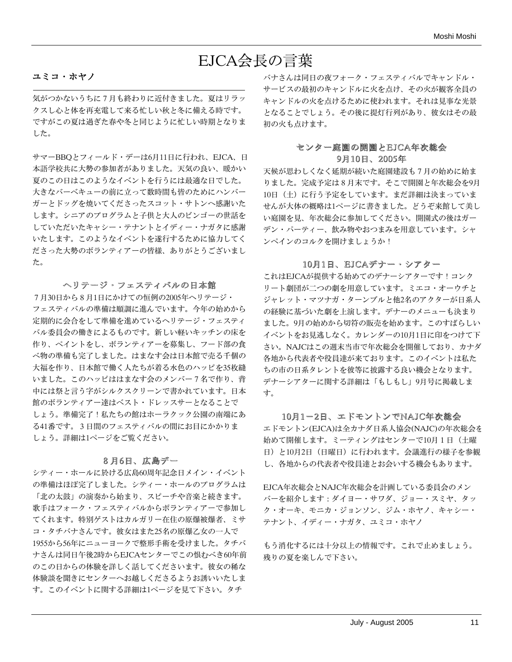# EJCA会長の言葉

## ユミコ・ホヤノ

気がつかないうちに7月も終わりに近付きました。夏はリラッ クスし心と体を再充電して来る忙しい秋と冬に備える時です。 ですがこの夏は過ぎた春や冬と同じように忙しい時期となりま した。

サマーBBQとフィールド・デーは6月11日に行われ、EJCA、日 本語学校共に大勢の参加者がありました。天気の良い、暖かい 夏のこの日はこのようなイベントを行うには最適な日でした。 大きなバーベキューの前に立って数時間も皆のためにハンバー ガーとドッグを焼いてくださったスコット・サトンへ感謝いた します。シニアのプログラムと子供と大人のビンゴーの世話を していただいたキャシー・テナントとイディー・ナガタに感謝 いたします。このようなイベントを遂行するために協力してく ださった大勢のボランティアーの皆様、ありがとうございまし た。

## ヘリテージ・フェスティバルの日本館

7月30日から8月1日にかけての恒例の2005年ヘリテージ・ フェスティバルの準備は順調に進んでいます。今年の始めから 定期的に会合をして準備を進めているヘリテージ・フェスティ バル委員会の働きによるものです。新しい軽いキッチンの床を 作り、ペイントをし、ボランティアーを募集し、フード部の食 べ物の準備も完了しました。はまなす会は日本館で売る千個の 大福を作り、日本館で働く人たちが着る水色のハッピを35枚縫 いました。このハッピははまなす会のメンバー7名で作り、背 中には祭と言う字がシルクスクリーンで書かれています。日本 館のボランティアー達はベスト・ドレッスサーとなることで しょう。準備完了!私たちの館はホーラクック公園の南端にあ る41番です。3日間のフェスティバルの間にお目にかかりま しょう。詳細は1ページをご覧ください。

## 8月6日、広島デー

シティー・ホールに於ける広島60周年記念日メイン・イベント の準備はほぼ完了しました。シティー・ホールのプログラムは 「北の太鼓」の演奏から始まり、スピーチや音楽と続きます。 歌手はフォーク・フェスティバルからボランティアーで参加し てくれます。特別ゲストはカルガリー在住の原爆被爆者、ミサ コ・タチバナさんです。彼女はまた25名の原爆乙女の一人で 1955から56年にニューヨークで整形手術を受けました。タチバ ナさんは同日午後2時からEJCAセンターでこの恨むべき60年前 のこの日からの体験を詳しく話してくださいます。彼女の稀な 体験談を聞きにセンターへお越しくださるようお誘いいたしま す。このイベントに関する詳細は1ページを見て下さい。タチ

バナさんは同日の夜フォーク・フェスティバルでキャンドル・ サービスの最初のキャンドルに火を点け、その火が観客全員の キャンドルの火を点けるために使われます。それは見事な光景 となることでしょう。その後に提灯行列があり、彼女はその最 初の火も点けます。

## センター庭園の開園とEJCA年次総会 9月10日、2005年

天候が思わしくなく延期が続いた庭園建設も7月の始めに始ま りました。完成予定は8月末です。そこで開園と年次総会を9月 10日(土)に行う予定をしています。まだ詳細は決まっていま せんが大体の概略は1ページに書きました。どうぞ来館して美し い庭園を見、年次総会に参加してください。開園式の後はガー デン・パーティー、飲み物やおつまみを用意しています。シャ ンペインのコルクを開けましょうか!

## 10月1日、EJCAデナー・シアター

これはEJCAが提供する始めてのデナーシアターです!コンク リート劇団が二つの劇を用意しています。ミエコ・オーウチと ジャレット・マツナガ・ターンブルと他2名のアクターが日系人 の経験に基づいた劇を上演します。デナーのメニューも決まり ました。9月の始めから切符の販売を始めます。このすばらしい イベントをお見逃しなく。カレンダーの10月1日に印をつけて下 さい。NAJCはこの週末当市で年次総会を開催しており、カナダ 各地から代表者や役員達が来ております。このイベントは私た ちの市の日系タレントを彼等に披露する良い機会となります。 デナーシアターに関する詳細は「もしもし」9月号に掲載しま す。

## 10月1-2日、エドモントンでNAJC年次総会

エドモントン(EJCA)は全カナダ日系人協会(NAJC)の年次総会を 始めて開催します。ミーティングはセンターで10月1日(土曜 日)と10月2日 (日曜日)に行われます。会議進行の様子を参観 し、各地からの代表者や役員達とお会いする機会もあります。

EJCA年次総会とNAJC年次総会を計画している委員会のメン バーを紹介します:ダイヨー・サワダ、ジョー・スミヤ、タッ ク・オーキ、モニカ・ジョンソン、ジム・ホヤノ、キャシー・ テナント、イディー・ナガタ、ユミコ・ホヤノ

もう消化するには十分以上の情報です。これで止めましょう。 残りの夏を楽しんで下さい。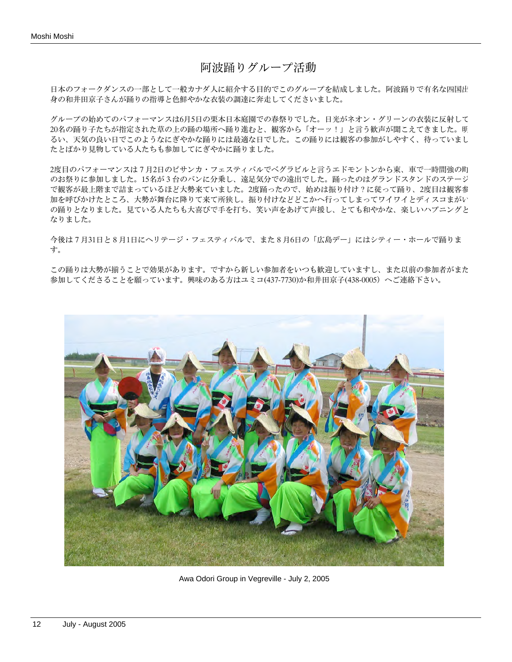## 阿波踊りグループ活動

日本のフォークダンスの一部として一般カナダ人に紹介する目的でこのグループを結成しました。阿波踊りで有名な四国出 身の和井田京子さんが踊りの指導と色鮮やかな衣装の調達に奔走してくださいました。

グループの始めてのパフォーマンスは6月5日の栗本日本庭園での春祭りでした。日光がネオン・グリーンの衣装に反射して 20名の踊り子たちが指定された草の上の踊の場所へ踊り進むと、観客から「オーッ!」と言う歓声が聞こえてきました。明 るい、天気の良い日でこのようなにぎやかな踊りには最適な日でした。この踊りには観客の参加がしやすく、待っていまし たとばかり見物している人たちも参加してにぎやかに踊りました。

2度目のパフォーマンスは7月2日のピサンカ・フェスティバルでベグラビルと言うエドモントンから東、車で一時間強の町 のお祭りに参加しました。15名が3台のバンに分乗し、遠足気分での遠出でした。踊ったのはグランドスタンドのステージ で観客が最上階まで詰まっているほど大勢来ていました。2度踊ったので、始めは振り付け?に従って踊り、2度目は観客参 加を呼びかけたところ、大勢が舞台に降りて来て所狭し。振り付けなどどこかへ行ってしまってワイワイとディスコまがい の踊りとなりました。見ている人たちも大喜びで手を打ち、笑い声をあげて声援し、とても和やかな、楽しいハプニングと なりました。

今後は7月31日と8月1日にヘリテージ・フェスティバルで、また8月6日の「広島デー」にはシティー・ホールで踊りま す。

この踊りは大勢が揃うことで効果があります。ですから新しい参加者をいつも歓迎していますし、また以前の参加者がまた 参加してくださることを願っています。興味のある方はユミコ(437-7730)か和井田京子(438-0005)へご連絡下さい。



Awa Odori Group in Vegreville - July 2, 2005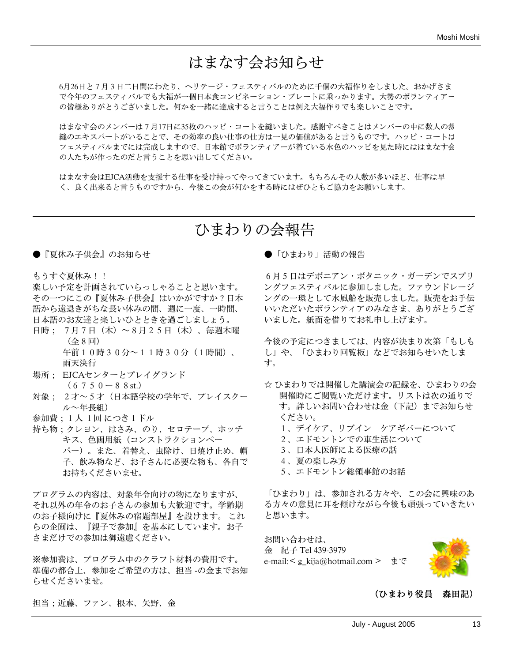# はまなす会お知らせ

6月26日と7月3日二日間にわたり、ヘリテージ・フェスティバルのために千個の大福作りをしました。おかげさま で今年のフェスティバルでも大福が一個日本食コンビネーション・プレートに乗っかります。大勢のボランティアー の皆様ありがとうございました。何かを一緒に達成すると言うことは例え大福作りでも楽しいことです。

はまなす会のメンバーは7月17日に35枚のハッピ・コートを縫いました。感謝すべきことはメンバーの中に数人の裁 縫のエキスパートがいることで、その効率の良い仕事の仕方は一見の価値があると言うものです。ハッピ・コートは フェスティバルまでには完成しますので、日本館でボランティアーが着ている水色のハッピを見た時にははまなす会 の人たちが作ったのだと言うことを思い出してください。

はまなす会はEJCA活動を支援する仕事を受け持ってやってきています。もちろんその人数が多いほど、仕事は早 く、良く出来ると言うものですから、今後この会が何かをする時にはぜひともご協力をお願いします。

# ひまわりの会報告

●『夏休み子供会』のお知らせ

もうすぐ夏休み!!

楽しい予定を計画されていらっしゃることと思います。 その一つにこの『夏休み子供会』はいかがですか?日本 語から遠退きがちな長い休みの間、週に一度、一時間、 日本語のお友達と楽しいひとときを過ごしましょう。

- 日時; 7月7日(木)~8月25日(木)、毎週木曜 (全8回) 午前10時30分~11時30分(1時間)、 雨天決行
- 場所; EJCAセンターとプレイグランド  $(6750 - 88$  st.)
- 対象; 2才~5才(日本語学校の学年で、プレイスクー ル~年長組)
- 参加費;1人 1回 につき1ドル
- 持ち物;クレヨン、はさみ、のり、セロテープ、ホッチ キス、色画用紙(コンストラクションペー パー)。また、着替え、虫除け、日焼け止め、帽 子、飲み物など、お子さんに必要な物も、各自で お持ちくださいませ。

プログラムの内容は、対象年令向けの物になりますが、 それ以外の年令のお子さんの参加も大歓迎です。学齢期 のお子様向けに『夏休みの宿題部屋』を設けます。 これ らの企画は、『親子で参加』を基本にしています。お子 さまだけでの参加は御遠慮ください。

※参加費は、プログラム中のクラフト材料の費用です。 準備の都合上、参加をご希望の方は、担当 -の金までお知 らせくださいませ。

●「ひまわり」活動の報告

6月5日はデボニアン・ボタニック・ガーデンでスプリ ングフェスティバルに参加しました。ファウンドレージ ングの一環として水風船を販売しました。販売をお手伝 いいただいたボランティアのみなさま、ありがとうござ いました。紙面を借りてお礼申し上げます。

今後の予定につきましては、内容が決まり次第「もしも し」や、「ひまわり回覧板」などでお知らせいたしま す。

☆ ひまわりでは開催した講演会の記録を、ひまわりの会 開催時にご閲覧いただけます。リストは次の通りで す。詳しいお問い合わせは金(下記)までお知らせ ください。

- 1、デイケア、リブイン ケアギバーについて
- 2、エドモントンでの車生活について
- 3、日本人医師による医療の話
- 4、夏の楽しみ方
- 5、エドモントン総領事館のお話

「ひまわり」は、参加される方々や、この会に興味のあ る方々の意見に耳を傾けながら今後も頑張っていきたい と思います。

お問い合わせは、 金 紀子 Tel 439-3979 e-mail:< g\_kija@hotmail.com > まで



## (ひまわり役員 森田記)

担当;近藤、ファン、根本、矢野、金